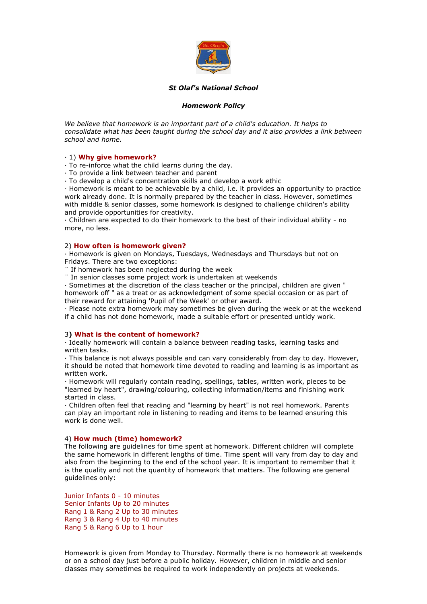

## *St Olaf's National School*

# *Homework Policy*

*We believe that homework is an important part of a child's education. It helps to consolidate what has been taught during the school day and it also provides a link between school and home.* 

## · 1) **Why give homework?**

· To re-inforce what the child learns during the day.

· To provide a link between teacher and parent

· To develop a child's concentration skills and develop a work ethic

· Homework is meant to be achievable by a child, i.e. it provides an opportunity to practice work already done. It is normally prepared by the teacher in class. However, sometimes with middle & senior classes, some homework is designed to challenge children's ability and provide opportunities for creativity.

· Children are expected to do their homework to the best of their individual ability - no more, no less.

### 2) **How often is homework given?**

· Homework is given on Mondays, Tuesdays, Wednesdays and Thursdays but not on Fridays. There are two exceptions:

If homework has been neglected during the week

¨ In senior classes some project work is undertaken at weekends

· Sometimes at the discretion of the class teacher or the principal, children are given " homework off " as a treat or as acknowledgment of some special occasion or as part of their reward for attaining 'Pupil of the Week' or other award.

· Please note extra homework may sometimes be given during the week or at the weekend if a child has not done homework, made a suitable effort or presented untidy work.

## 3**) What is the content of homework?**

· Ideally homework will contain a balance between reading tasks, learning tasks and written tasks.

· This balance is not always possible and can vary considerably from day to day. However, it should be noted that homework time devoted to reading and learning is as important as written work.

· Homework will regularly contain reading, spellings, tables, written work, pieces to be "learned by heart", drawing/colouring, collecting information/items and finishing work started in class.

· Children often feel that reading and "learning by heart" is not real homework. Parents can play an important role in listening to reading and items to be learned ensuring this work is done well.

### 4) **How much (time) homework?**

The following are guidelines for time spent at homework. Different children will complete the same homework in different lengths of time. Time spent will vary from day to day and also from the beginning to the end of the school year. It is important to remember that it is the quality and not the quantity of homework that matters. The following are general guidelines only:

Junior Infants 0 - 10 minutes Senior Infants Up to 20 minutes Rang 1 & Rang 2 Up to 30 minutes Rang 3 & Rang 4 Up to 40 minutes Rang 5 & Rang 6 Up to 1 hour

Homework is given from Monday to Thursday. Normally there is no homework at weekends or on a school day just before a public holiday. However, children in middle and senior classes may sometimes be required to work independently on projects at weekends.